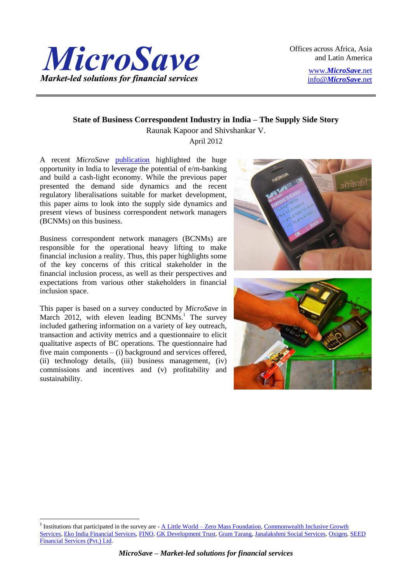

 Offices across Africa, Asia and Latin America

> www.*[MicroSave](http://www.microsave.net/)*.net info@*[MicroSave](mailto:info@MicroSave.net)*.net

# **State of Business Correspondent Industry in India – The Supply Side Story**

Raunak Kapoor and Shivshankar V.

April 2012

A recent *MicroSave* [publication](http://www.microsave.net/sites/default/files/research_papers/Why_EM_Banking_Will_Soon_Reach_Scale_in_India.pdf) highlighted the huge opportunity in India to leverage the potential of e/m-banking and build a cash-light economy. While the previous paper presented the demand side dynamics and the recent regulatory liberalisations suitable for market development, this paper aims to look into the supply side dynamics and present views of business correspondent network managers (BCNMs) on this business.

Business correspondent network managers (BCNMs) are responsible for the operational heavy lifting to make financial inclusion a reality. Thus, this paper highlights some of the key concerns of this critical stakeholder in the financial inclusion process, as well as their perspectives and expectations from various other stakeholders in financial inclusion space.

This paper is based on a survey conducted by *MicroSave* in March 2012, with eleven leading BCNMs.<sup>1</sup> The survey included gathering information on a variety of key outreach, transaction and activity metrics and a questionnaire to elicit qualitative aspects of BC operations. The questionnaire had five main components – (i) background and services offered, (ii) technology details, (iii) business management, (iv) commissions and incentives and (v) profitability and sustainability.

 $\overline{a}$ 





<sup>&</sup>lt;sup>1</sup> Institutions that participated in the survey are - <u>A Little World – [Zero Mass Foundation,](http://www.alittleworld.com/) Commonwealth Inclusive Growth</u> [Services,](http://www.cigs.in/) [Eko India Financial Services,](http://eko.co.in/) [FINO,](http://fino.co.in/) [GK Development Trust,](http://www.gfspl.in/gk-development-trust) [Gram Tarang,](http://www.gramtarang.org/) [Janalakshmi Social Services,](http://www.janalakshmi.com/aboutus/social_service.htm) [Oxigen,](http://www.myoxigen.com/) [SEED](http://www.seed.net.in/)  [Financial Services \(Pvt.\) Ltd.](http://www.seed.net.in/)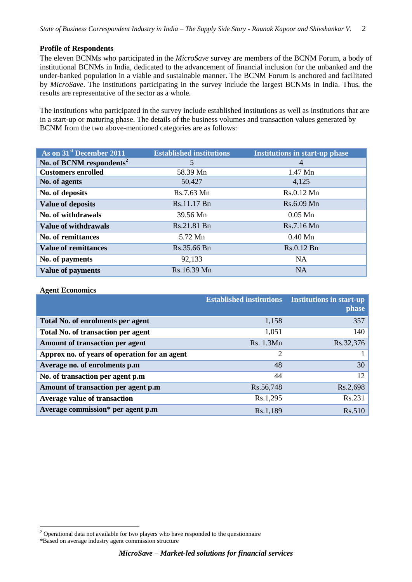# **Profile of Respondents**

The eleven BCNMs who participated in the *MicroSave* survey are members of the BCNM Forum, a body of institutional BCNMs in India, dedicated to the advancement of financial inclusion for the unbanked and the under-banked population in a viable and sustainable manner. The BCNM Forum is anchored and facilitated by *MicroSave*. The institutions participating in the survey include the largest BCNMs in India. Thus, the results are representative of the sector as a whole.

The institutions who participated in the survey include established institutions as well as institutions that are in a start-up or maturing phase. The details of the business volumes and transaction values generated by BCNM from the two above-mentioned categories are as follows:

| As on 31 <sup>st</sup> December 2011 | <b>Established institutions</b> | <b>Institutions in start-up phase</b> |
|--------------------------------------|---------------------------------|---------------------------------------|
| No. of BCNM respondents <sup>2</sup> | 5                               | 4                                     |
| <b>Customers enrolled</b>            | 58.39 Mn                        | 1.47 Mn                               |
| No. of agents                        | 50,427                          | 4,125                                 |
| No. of deposits                      | Rs.7.63 Mn                      | Rs.0.12 Mn                            |
| <b>Value of deposits</b>             | Rs.11.17 Bn                     | Rs.6.09 Mn                            |
| No. of withdrawals                   | 39.56 Mn                        | $0.05$ Mn                             |
| <b>Value of withdrawals</b>          | Rs.21.81 Bn                     | Rs.7.16 Mn                            |
| <b>No. of remittances</b>            | 5.72 Mn                         | $0.40$ Mn                             |
| <b>Value of remittances</b>          | Rs.35.66 Bn                     | Rs.0.12 Bn                            |
| No. of payments                      | 92,133                          | <b>NA</b>                             |
| <b>Value of payments</b>             | Rs.16.39 Mn                     | <b>NA</b>                             |

#### **Agent Economics**

|                                               | <b>Established institutions</b> Institutions in start-up | phase     |
|-----------------------------------------------|----------------------------------------------------------|-----------|
| Total No. of enrolments per agent             | 1,158                                                    | 357       |
| <b>Total No. of transaction per agent</b>     | 1,051                                                    | 140       |
| Amount of transaction per agent               | Rs. 1.3Mn                                                | Rs.32,376 |
| Approx no. of years of operation for an agent | 2                                                        |           |
| Average no. of enrolments p.m                 | 48                                                       | 30        |
| No. of transaction per agent p.m              | 44                                                       | 12        |
| Amount of transaction per agent p.m           | Rs.56,748                                                | Rs.2,698  |
| Average value of transaction                  | Rs.1,295                                                 | Rs.231    |
| Average commission* per agent p.m             | Rs.1,189                                                 | Rs.510    |

\*Based on average industry agent commission structure

 $\overline{a}$ 

 $2$  Operational data not available for two players who have responded to the questionnaire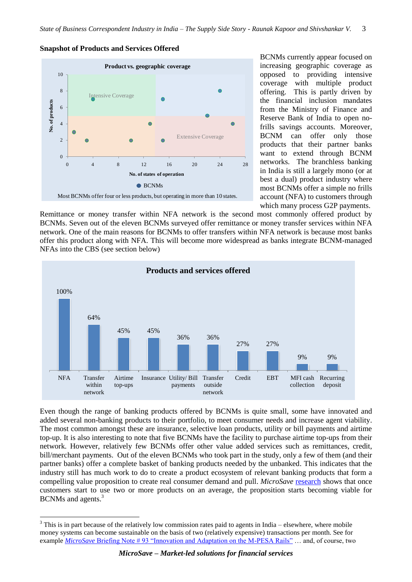



BCNMs currently appear focused on increasing geographic coverage as opposed to providing intensive coverage with multiple product offering. This is partly driven by the financial inclusion mandates from the Ministry of Finance and Reserve Bank of India to open nofrills savings accounts. Moreover, BCNM can offer only those products that their partner banks want to extend through BCNM networks. The branchless banking in India is still a largely mono (or at best a dual) product industry where most BCNMs offer a simple no frills account (NFA) to customers through which many process G<sub>2</sub>P payments.

Remittance or money transfer within NFA network is the second most commonly offered product by BCNMs. Seven out of the eleven BCNMs surveyed offer remittance or money transfer services within NFA network. One of the main reasons for BCNMs to offer transfers within NFA network is because most banks offer this product along with NFA. This will become more widespread as banks integrate BCNM-managed NFAs into the CBS (see section below)



Even though the range of banking products offered by BCNMs is quite small, some have innovated and added several non-banking products to their portfolio, to meet consumer needs and increase agent viability. The most common amongst these are insurance, selective loan products, utility or bill payments and airtime top-up. It is also interesting to note that five BCNMs have the facility to purchase airtime top-ups from their network. However, relatively few BCNMs offer other value added services such as remittances, credit, bill/merchant payments. Out of the eleven BCNMs who took part in the study, only a few of them (and their partner banks) offer a complete basket of banking products needed by the unbanked. This indicates that the industry still has much work to do to create a product ecosystem of relevant banking products that form a compelling value proposition to create real consumer demand and pull. *MicroSave* [research](http://www.microsave.org/sites/files/technicalBriefs/indiaFocusNotes/IFN_80_Driving_Viability_for_Banks_and_BCs.pdf) shows that once customers start to use two or more products on an average, the proposition starts becoming viable for BCNMs and agents.<sup>3</sup>

 $\overline{a}$  $3$  This is in part because of the relatively low commission rates paid to agents in India – elsewhere, where mobile money systems can become sustainable on the basis of two (relatively expensive) transactions per month. See for example *MicroSave* [Briefing Note # 93 "Innovation and Adaptation on the M-PESA Rails"](http://www.microsave.net/sites/files/technicalBriefs/briefingNotes/BN_93_Innovation_Adaptation_on_M-Pesa_Rails.pdf) … and, of course, two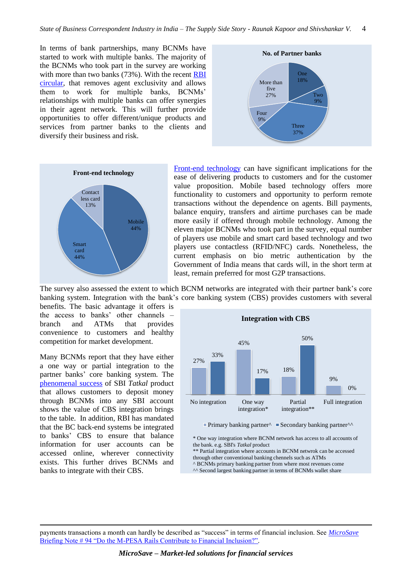In terms of bank partnerships, many BCNMs have started to work with multiple banks. The majority of the BCNMs who took part in the survey are working with more than two banks (73%). With the recent RBI [circular,](http://rbi.org.in/scripts/NotificationUser.aspx?Id=7038&Mode=0) that removes agent exclusivity and allows them to work for multiple banks, BCNMs' relationships with multiple banks can offer synergies in their agent network. This will further provide opportunities to offer different/unique products and services from partner banks to the clients and diversify their business and risk.





[Front-end technology](http://www.microsave.org/briefing_notes/financial-inclusion-through-e-m-banking) can have significant implications for the ease of delivering products to customers and for the customer value proposition. Mobile based technology offers more functionality to customers and opportunity to perform remote transactions without the dependence on agents. Bill payments, balance enquiry, transfers and airtime purchases can be made more easily if offered through mobile technology. Among the eleven major BCNMs who took part in the survey, equal number of players use mobile and smart card based technology and two players use contactless (RFID/NFC) cards. Nonetheless, the current emphasis on bio metric authentication by the Government of India means that cards will, in the short term at least, remain preferred for most G2P transactions.

The survey also assessed the extent to which BCNM networks are integrated with their partner bank's core banking system. Integration with the bank's core banking system (CBS) provides customers with several

benefits. The basic advantage it offers is the access to banks' other channels – branch and ATMs that provides convenience to customers and healthy competition for market development.

Many BCNMs report that they have either a one way or partial integration to the partner banks' core banking system. The [phenomenal success](http://www.microsave.org/sites/files/technicalBriefs/indiaFocusNotes/IFN_68_SBI_Tatkal_From_Cash_to_Cash_Cow.pdf) of SBI *Tatkal* product that allows customers to deposit money through BCNMs into any SBI account shows the value of CBS integration brings to the table. In addition, RBI has mandated that the BC back-end systems be integrated to banks' CBS to ensure that balance information for user accounts can be accessed online, wherever connectivity exists. This further drives BCNMs and banks to integrate with their CBS.

**.** 



the bank. e.g. SBI's *Tatkal* product \*\* Partial integration where accounts in BCNM netwrok can be accessed

through other conventional banking chennels such as ATMs

^ BCNMs primary banking partner from where most revenues come

^^ Second largest banking partner in terms of BCNMs wallet share

payments transactions a month can hardly be described as "success" in terms of financial inclusion. See *[MicroSave](http://www.microsave.net/sites/files/technicalBriefs/briefingNotes/BN_95_Do_M-Pesa_Rails_Contribute_to_Financial_Inclusion.pdf)* [Briefing Note # 94 "Do the M-PESA Rails Contribute to Financial Inclusion?"](http://www.microsave.net/sites/files/technicalBriefs/briefingNotes/BN_95_Do_M-Pesa_Rails_Contribute_to_Financial_Inclusion.pdf)*.*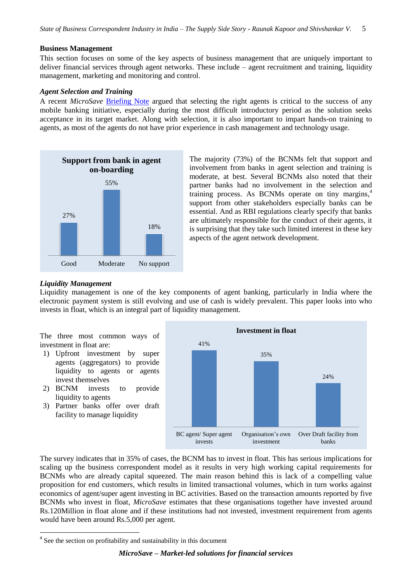# **Business Management**

This section focuses on some of the key aspects of business management that are uniquely important to deliver financial services through agent networks. These include – agent recruitment and training, liquidity management, marketing and monitoring and control.

# *Agent Selection and Training*

A recent *MicroSave* [Briefing Note](http://www.microsave.org/sites/files/technicalBriefs/briefingNotes/BN_81_M-Banking_Agent_Selection.pdf) argued that selecting the right agents is critical to the success of any mobile banking initiative, especially during the most difficult introductory period as the solution seeks acceptance in its target market. Along with selection, it is also important to impart hands-on training to agents, as most of the agents do not have prior experience in cash management and technology usage.



The majority (73%) of the BCNMs felt that support and involvement from banks in agent selection and training is moderate, at best. Several BCNMs also noted that their partner banks had no involvement in the selection and training process. As BCNMs operate on tiny margins, 4 support from other stakeholders especially banks can be essential. And as RBI regulations clearly specify that banks are ultimately responsible for the conduct of their agents, it is surprising that they take such limited interest in these key aspects of the agent network development.

# *Liquidity Management*

 $\overline{a}$ 

Liquidity management is one of the key components of agent banking, particularly in India where the electronic payment system is still evolving and use of cash is widely prevalent. This paper looks into who invests in float, which is an integral part of liquidity management.

The three most common ways of investment in float are:

- 1) Upfront investment by super agents (aggregators) to provide liquidity to agents or agents invest themselves
- 2) BCNM invests to provide liquidity to agents
- 3) Partner banks offer over draft facility to manage liquidity



The survey indicates that in 35% of cases, the BCNM has to invest in float. This has serious implications for scaling up the business correspondent model as it results in very high working capital requirements for BCNMs who are already capital squeezed. The main reason behind this is lack of a compelling value proposition for end customers, which results in limited transactional volumes, which in turn works against economics of agent/super agent investing in BC activities. Based on the transaction amounts reported by five BCNMs who invest in float, *MicroSave* estimates that these organisations together have invested around Rs.120Million in float alone and if these institutions had not invested, investment requirement from agents would have been around Rs.5,000 per agent.

<sup>&</sup>lt;sup>4</sup> See the section on profitability and sustainability in this document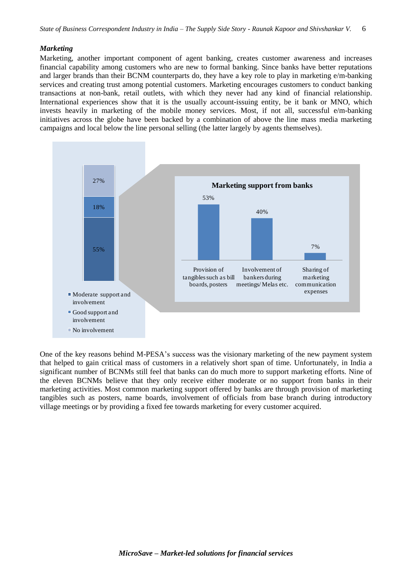### *Marketing*

Marketing, another important component of agent banking, creates customer awareness and increases financial capability among customers who are new to formal banking. Since banks have better reputations and larger brands than their BCNM counterparts do, they have a key role to play in marketing e/m-banking services and creating trust among potential customers. Marketing encourages customers to conduct banking transactions at non-bank, retail outlets, with which they never had any kind of financial relationship. International experiences show that it is the usually account-issuing entity, be it bank or MNO, which invests heavily in marketing of the mobile money services. Most, if not all, successful e/m-banking initiatives across the globe have been backed by a combination of above the line mass media marketing campaigns and local below the line personal selling (the latter largely by agents themselves).



One of the key reasons behind M-PESA's success was the visionary marketing of the new payment system that helped to gain critical mass of customers in a relatively short span of time. Unfortunately, in India a significant number of BCNMs still feel that banks can do much more to support marketing efforts. Nine of the eleven BCNMs believe that they only receive either moderate or no support from banks in their marketing activities. Most common marketing support offered by banks are through provision of marketing tangibles such as posters, name boards, involvement of officials from base branch during introductory village meetings or by providing a fixed fee towards marketing for every customer acquired.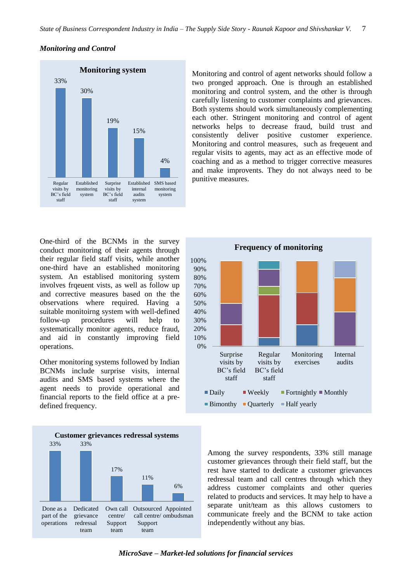### *Monitoring and Control*



Monitoring and control of agent networks should follow a two pronged approach. One is through an established monitoring and control system, and the other is through carefully listening to customer complaints and grievances. Both systems should work simultaneously complementing each other. Stringent monitoring and control of agent networks helps to decrease fraud, build trust and consistently deliver positive customer experience. Monitoring and control measures, such as freqeuent and regular visits to agents, may act as an effective mode of coaching and as a method to trigger corrective measures and make improvents. They do not always need to be punitive measures.

One-third of the BCNMs in the survey conduct monitoring of their agents through their regular field staff visits, while another one-third have an established monitoring system. An establised monitoring system involves frqeuent vists, as well as follow up and corrective measures based on the the observations where required. Having a suitable monitoirng system with well-defined follow-up procedures will help to systematically monitor agents, reduce fraud, and aid in constantly improving field operations.

Other monitoring systems followed by Indian BCNMs include surprise visits, internal audits and SMS based systems where the agent needs to provide operational and financial reports to the field office at a predefined frequency.





Among the survey respondents, 33% still manage customer grievances through their field staff, but the rest have started to dedicate a customer grievances redressal team and call centres through which they address customer complaints and other queries related to products and services. It may help to have a separate unit/team as this allows customers to communicate freely and the BCNM to take action independently without any bias.

#### *MicroSave – Market-led solutions for financial services*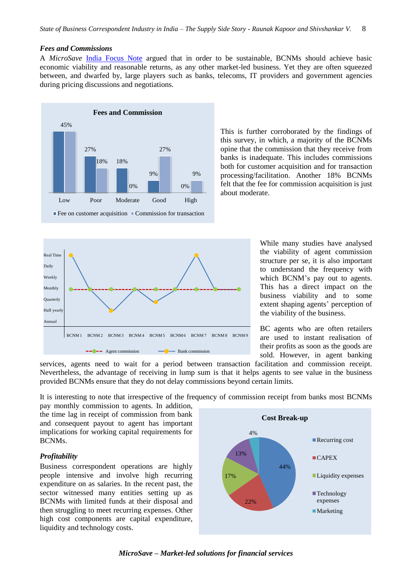### *Fees and Commissions*

A *MicroSave* [India Focus Note](http://www.microsave.org/sites/files/technicalBriefs/indiaFocusNotes/IFN_71_Sustainability_of_BCNMs_in_India_How_Are_BCNMs_Paid.pdf) argued that in order to be sustainable, BCNMs should achieve basic economic viability and reasonable returns, as any other market-led business. Yet they are often squeezed between, and dwarfed by, large players such as banks, telecoms, IT providers and government agencies during pricing discussions and negotiations.





This is further corroborated by the findings of this survey, in which, a majority of the BCNMs opine that the commission that they receive from banks is inadequate. This includes commissions both for customer acquisition and for transaction processing/facilitation. Another 18% BCNMs felt that the fee for commission acquisition is just about moderate.

> While many studies have analysed the viability of agent commission structure per se, it is also important to understand the frequency with which BCNM's pay out to agents. This has a direct impact on the business viability and to some extent shaping agents' perception of the viability of the business.

> BC agents who are often retailers are used to instant realisation of their profits as soon as the goods are sold. However, in agent banking

services, agents need to wait for a period between transaction facilitation and commission receipt. Nevertheless, the advantage of receiving in lump sum is that it helps agents to see value in the business provided BCNMs ensure that they do not delay commissions beyond certain limits.

It is interesting to note that irrespective of the frequency of commission receipt from banks most BCNMs

pay monthly commission to agents. In addition, the time lag in receipt of commission from bank and consequent payout to agent has important implications for working capital requirements for BCNMs.

### *Profitability*

Business correspondent operations are highly people intensive and involve high recurring expenditure on as salaries. In the recent past, the sector witnessed many entities setting up as BCNMs with limited funds at their disposal and then struggling to meet recurring expenses. Other high cost components are capital expenditure, liquidity and technology costs.



*MicroSave – Market-led solutions for financial services*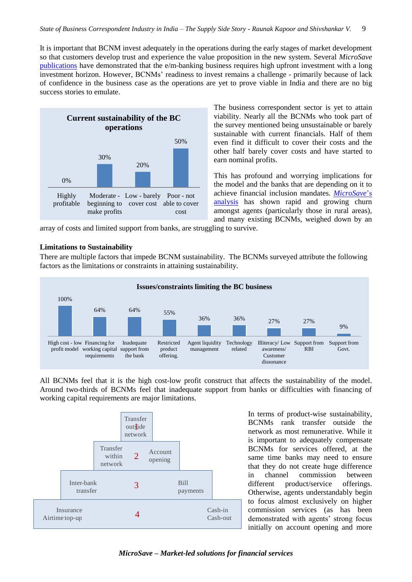It is important that BCNM invest adequately in the operations during the early stages of market development so that customers develop trust and experience the value proposition in the new system. Several *MicroSave* [publications](http://microsave.net/sites/files/technicalBriefs/briefingNotes/IFN_32_BC_Achieving-2nd-Break-Even-Point.pdf) have demonstrated that the e/m-banking business requires high upfront investment with a long investment horizon. However, BCNMs' readiness to invest remains a challenge - primarily because of lack of confidence in the business case as the operations are yet to prove viable in India and there are no big success stories to emulate.



The business correspondent sector is yet to attain viability. Nearly all the BCNMs who took part of the survey mentioned being unsustainable or barely sustainable with current financials. Half of them even find it difficult to cover their costs and the other half barely cover costs and have started to earn nominal profits.

This has profound and worrying implications for the model and the banks that are depending on it to achieve financial inclusion mandates. *[MicroSave](http://www.microsave.net/sites/files/technicalBriefs/policybrief/PB_2_The_State_of_Business_Correspondence_Agent_Networks_in_India.pdf)*'s [analysis](http://www.microsave.net/sites/files/technicalBriefs/policybrief/PB_2_The_State_of_Business_Correspondence_Agent_Networks_in_India.pdf) has shown rapid and growing churn amongst agents (particularly those in rural areas), and many existing BCNMs, weighed down by an

array of costs and limited support from banks, are struggling to survive.

## **Limitations to Sustainability**

There are multiple factors that impede BCNM sustainability. The BCNMs surveyed attribute the following factors as the limitations or constraints in attaining sustainability.



All BCNMs feel that it is the high cost-low profit construct that affects the sustainability of the model. Around two-thirds of BCNMs feel that inadequate support from banks or difficulties with financing of working capital requirements are major limitations.



In terms of product-wise sustainability, BCNMs rank transfer outside the network as most remunerative. While it is important to adequately compensate BCNMs for services offered, at the same time banks may need to ensure that they do not create huge difference in channel commission between different product/service offerings. Otherwise, agents understandably begin to focus almost exclusively on higher commission services (as has been demonstrated with agents' strong focus initially on account opening and more

*MicroSave – Market-led solutions for financial services*